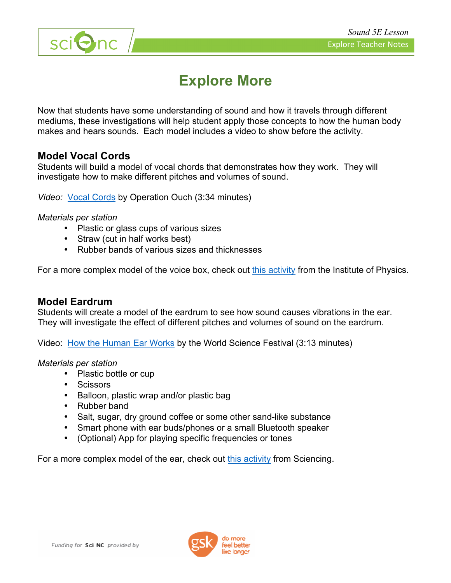

# sci**Onc**

## **Explore More**

Now that students have some understanding of sound and how it travels through different mediums, these investigations will help student apply those concepts to how the human body makes and hears sounds. Each model includes a video to show before the activity.

#### **Model Vocal Cords**

Students will build a model of vocal chords that demonstrates how they work. They will investigate how to make different pitches and volumes of sound.

*Video:* Vocal Cords by Operation Ouch (3:34 minutes)

#### *Materials per station*

- Plastic or glass cups of various sizes
- Straw (cut in half works best)
- Rubber bands of various sizes and thicknesses

For a more complex model of the voice box, check out this activity from the Institute of Physics.

#### **Model Eardrum**

Students will create a model of the eardrum to see how sound causes vibrations in the ear. They will investigate the effect of different pitches and volumes of sound on the eardrum.

Video: How the Human Ear Works by the World Science Festival (3:13 minutes)

#### *Materials per station*

- Plastic bottle or cup
- Scissors
- Balloon, plastic wrap and/or plastic bag
- Rubber band
- Salt, sugar, dry ground coffee or some other sand-like substance
- Smart phone with ear buds/phones or a small Bluetooth speaker
- (Optional) App for playing specific frequencies or tones

For a more complex model of the ear, check out this activity from Sciencing.